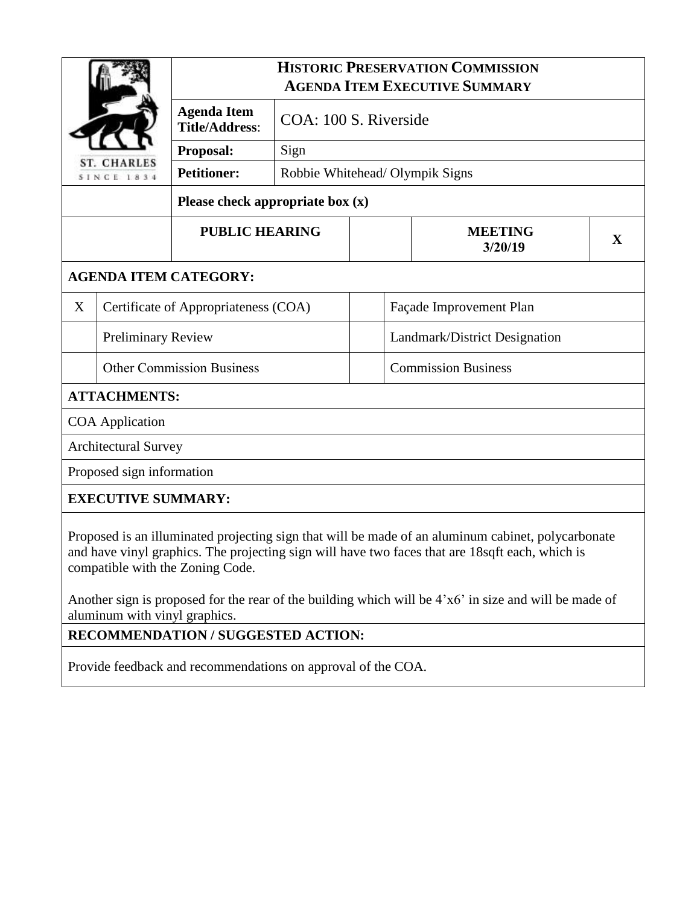| <b>CHARLES</b><br><b>SINCE 1834</b> |                                      | <b>HISTORIC PRESERVATION COMMISSION</b><br><b>AGENDA ITEM EXECUTIVE SUMMARY</b> |                                 |                         |                                                                                                                                                                                                       |   |  |
|-------------------------------------|--------------------------------------|---------------------------------------------------------------------------------|---------------------------------|-------------------------|-------------------------------------------------------------------------------------------------------------------------------------------------------------------------------------------------------|---|--|
|                                     |                                      | <b>Agenda Item</b><br><b>Title/Address:</b>                                     | COA: 100 S. Riverside<br>Sign   |                         |                                                                                                                                                                                                       |   |  |
|                                     |                                      | Proposal:                                                                       |                                 |                         |                                                                                                                                                                                                       |   |  |
|                                     |                                      | <b>Petitioner:</b>                                                              | Robbie Whitehead/ Olympik Signs |                         |                                                                                                                                                                                                       |   |  |
|                                     |                                      | Please check appropriate box $(x)$                                              |                                 |                         |                                                                                                                                                                                                       |   |  |
|                                     |                                      | <b>PUBLIC HEARING</b>                                                           |                                 |                         | <b>MEETING</b><br>3/20/19                                                                                                                                                                             | X |  |
|                                     |                                      | <b>AGENDA ITEM CATEGORY:</b>                                                    |                                 |                         |                                                                                                                                                                                                       |   |  |
| X                                   | Certificate of Appropriateness (COA) |                                                                                 |                                 | Façade Improvement Plan |                                                                                                                                                                                                       |   |  |
| <b>Preliminary Review</b>           |                                      | Landmark/District Designation                                                   |                                 |                         |                                                                                                                                                                                                       |   |  |
| <b>Other Commission Business</b>    |                                      |                                                                                 | <b>Commission Business</b>      |                         |                                                                                                                                                                                                       |   |  |
|                                     | <b>ATTACHMENTS:</b>                  |                                                                                 |                                 |                         |                                                                                                                                                                                                       |   |  |
|                                     | <b>COA</b> Application               |                                                                                 |                                 |                         |                                                                                                                                                                                                       |   |  |
|                                     | <b>Architectural Survey</b>          |                                                                                 |                                 |                         |                                                                                                                                                                                                       |   |  |
| Proposed sign information           |                                      |                                                                                 |                                 |                         |                                                                                                                                                                                                       |   |  |
|                                     | <b>EXECUTIVE SUMMARY:</b>            |                                                                                 |                                 |                         |                                                                                                                                                                                                       |   |  |
|                                     |                                      |                                                                                 |                                 |                         | Proposed is an illuminated projecting sign that will be made of an aluminum cabinet, polycarbonate<br>and have vinyl graphics. The projecting sign will have two faces that are 18sqft each, which is |   |  |

Another sign is proposed for the rear of the building which will be 4'x6' in size and will be made of aluminum with vinyl graphics.

## **RECOMMENDATION / SUGGESTED ACTION:**

compatible with the Zoning Code.

Provide feedback and recommendations on approval of the COA.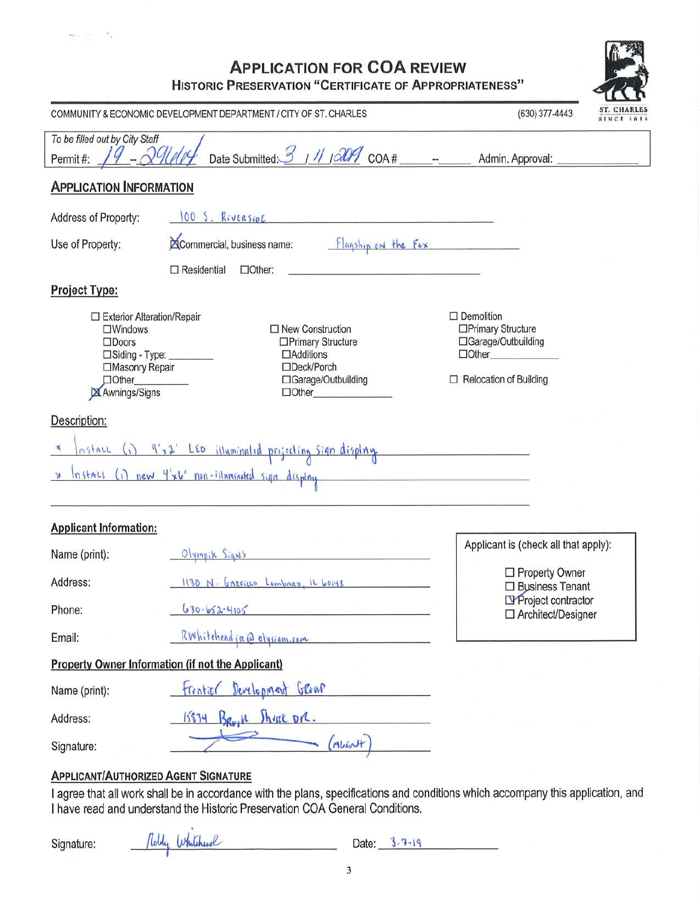## **APPLICATION FOR COA REVIEW**

**HISTORIC PRESERVATION "CERTIFICATE OF APPROPRIATENESS"** 

|                                                                                                                                                      | COMMUNITY & ECONOMIC DEVELOPMENT DEPARTMENT / CITY OF ST. CHARLES                                                       | مستحسا<br>ST. CHARLES<br>(630) 377-4443<br>SINCE IAI4                                                           |  |  |
|------------------------------------------------------------------------------------------------------------------------------------------------------|-------------------------------------------------------------------------------------------------------------------------|-----------------------------------------------------------------------------------------------------------------|--|--|
| To be filled out by City Staff<br>Admin. Approval:<br>Permit#:                                                                                       |                                                                                                                         |                                                                                                                 |  |  |
| <b>APPLICATION INFORMATION</b>                                                                                                                       |                                                                                                                         |                                                                                                                 |  |  |
| Address of Property:                                                                                                                                 | 100 S. Riversion Communications                                                                                         |                                                                                                                 |  |  |
| Use of Property:                                                                                                                                     | Commercial, business name:<br>Flagship on the Fox                                                                       |                                                                                                                 |  |  |
|                                                                                                                                                      | $\Box$ Residential<br>$\Box$ Other:                                                                                     |                                                                                                                 |  |  |
| <b>Project Type:</b>                                                                                                                                 |                                                                                                                         |                                                                                                                 |  |  |
| $\Box$ Exterior Alteration/Repair<br>$\square$ Windows<br>$\Box$ Doors<br>□Siding - Type: ______<br>□Masonry Repair<br>$\Box$ Other<br>Awnings/Signs | $\Box$ New Construction<br>□Primary Structure<br>$\Box$ Additions<br>□Deck/Porch<br>□Garage/Outbuilding<br>$\Box$ Other | $\Box$ Demolition<br>□Primary Structure<br>□Garage/Outbuilding<br>$\Box$ Other<br>$\Box$ Relocation of Building |  |  |
| x                                                                                                                                                    | nstall (i) 9'x2' LED illuminated projecting sign display<br>Install (i) new 4'x6' non-illuminated sign display          |                                                                                                                 |  |  |
| <b>Applicant Information:</b>                                                                                                                        |                                                                                                                         |                                                                                                                 |  |  |
| Name (print):                                                                                                                                        | Olympik Signs                                                                                                           | Applicant is (check all that apply):                                                                            |  |  |
| Address:                                                                                                                                             | 1130 N. GARFIELD LOMBARD, IL 60148                                                                                      | □ Property Owner<br>$\Box$ Business Tenant                                                                      |  |  |
| Phone:                                                                                                                                               | $630 - 652 - 4105$                                                                                                      | Project contractor<br>□ Architect/Designer                                                                      |  |  |
| RWhiteheadir @ olysians.com<br>Email:                                                                                                                |                                                                                                                         |                                                                                                                 |  |  |
|                                                                                                                                                      | Property Owner Information (if not the Applicant)                                                                       |                                                                                                                 |  |  |
| frentiser Development Grown<br>Name (print):                                                                                                         |                                                                                                                         |                                                                                                                 |  |  |
| Address:                                                                                                                                             | 15834 BRUIN Shrat DR.                                                                                                   |                                                                                                                 |  |  |
| (MULN)<br>Signature:                                                                                                                                 |                                                                                                                         |                                                                                                                 |  |  |

## **APPLICANT/AUTHORIZED AGENT SIGNATURE**

 $\sim 10$ 

I agree that all work shall be in accordance with the plans, specifications and conditions which accompany this application, and I have read and understand the Historic Preservation COA General Conditions.

|  | Signature: |
|--|------------|
|--|------------|

 $\sigma_{11}$  ,  $\ldots$  ,  $\sigma_{\chi}$ 

| Robby Whiteheare |  |
|------------------|--|
|                  |  |

Date:  $3-7-19$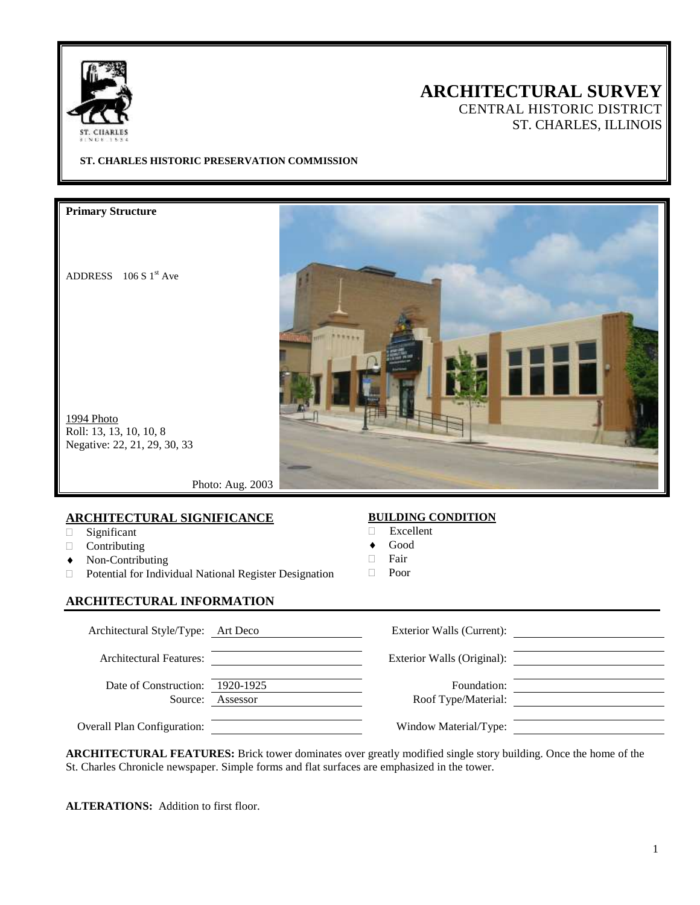

# **ARCHITECTURAL SURVEY**

CENTRAL HISTORIC DISTRICT ST. CHARLES, ILLINOIS

**ST. CHARLES HISTORIC PRESERVATION COMMISSION**

**Primary Structure**

ADDRESS  $106 S 1<sup>st</sup> Ave$ 



1994 Photo Roll: 13, 13, 10, 10, 8 Negative: 22, 21, 29, 30, 33

Photo: Aug. 2003

#### **ARCHITECTURAL SIGNIFICANCE**

- Significant
- Contributing
- Non-Contributing
- Potential for Individual National Register Designation

#### **ARCHITECTURAL INFORMATION**

### **BUILDING CONDITION**

- Excellent
- Good
- $\Box$  Fair
- Poor

| Architectural Style/Type: Art Deco |                       | Exterior Walls (Current):          |  |
|------------------------------------|-----------------------|------------------------------------|--|
| <b>Architectural Features:</b>     |                       | Exterior Walls (Original):         |  |
| Date of Construction:<br>Source:   | 1920-1925<br>Assessor | Foundation:<br>Roof Type/Material: |  |
| <b>Overall Plan Configuration:</b> |                       | Window Material/Type:              |  |

**ARCHITECTURAL FEATURES:** Brick tower dominates over greatly modified single story building. Once the home of the St. Charles Chronicle newspaper. Simple forms and flat surfaces are emphasized in the tower.

**ALTERATIONS:** Addition to first floor.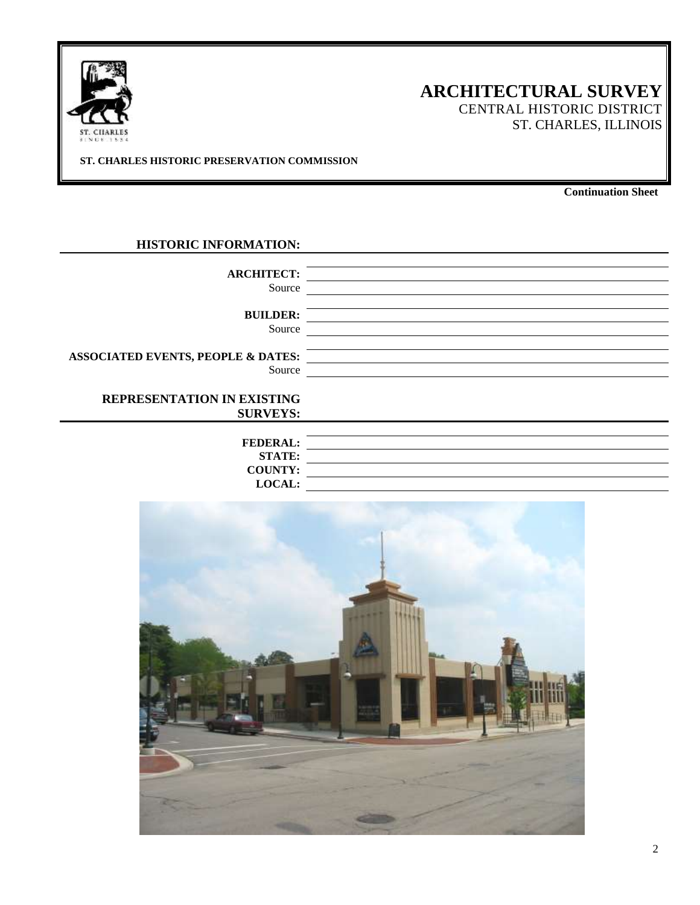

## **ARCHITECTURAL SURVEY**

CENTRAL HISTORIC DISTRICT ST. CHARLES, ILLINOIS

**ST. CHARLES HISTORIC PRESERVATION COMMISSION**

**Continuation Sheet**

#### **HISTORIC INFORMATION:**

| <b>ARCHITECT:</b><br>Source                             |  |
|---------------------------------------------------------|--|
| <b>BUILDER:</b><br>Source                               |  |
| <b>ASSOCIATED EVENTS, PEOPLE &amp; DATES:</b><br>Source |  |
| <b>REPRESENTATION IN EXISTING</b>                       |  |
| <b>SURVEYS:</b>                                         |  |
| <b>FEDERAL:</b><br><b>STATE:</b>                        |  |
| <b>COUNTY:</b>                                          |  |

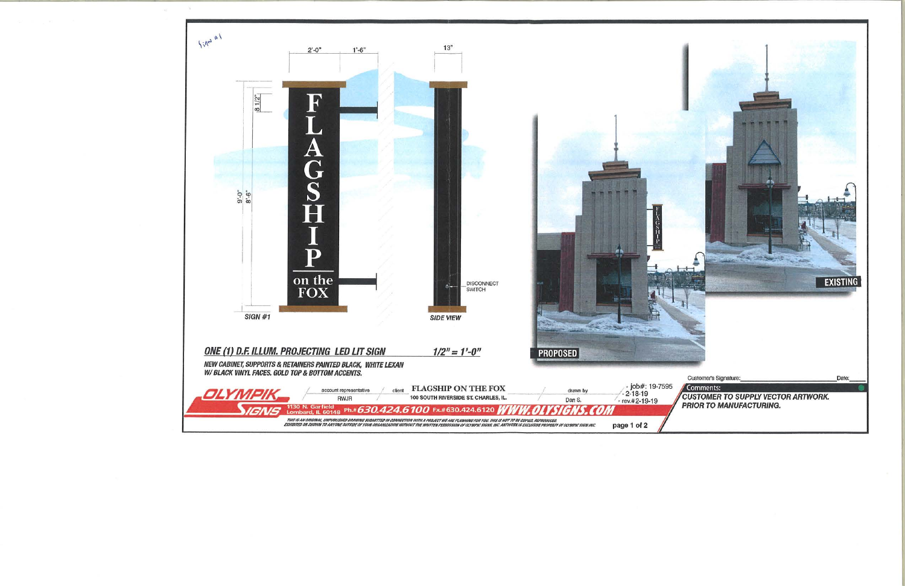